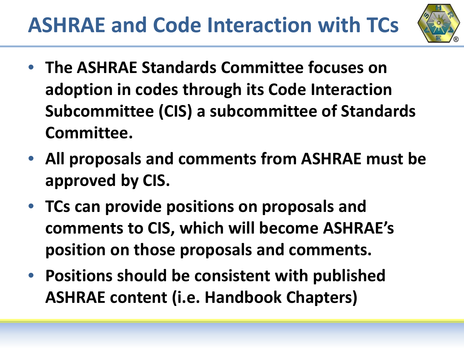

- **The ASHRAE Standards Committee focuses on adoption in codes through its Code Interaction Subcommittee (CIS) a subcommittee of Standards Committee.**
- **All proposals and comments from ASHRAE must be approved by CIS.**
- **TCs can provide positions on proposals and comments to CIS, which will become ASHRAE's position on those proposals and comments.**
- **Positions should be consistent with published ASHRAE content (i.e. Handbook Chapters)**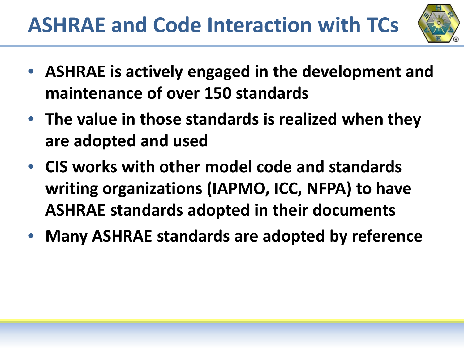

- **ASHRAE is actively engaged in the development and maintenance of over 150 standards**
- **The value in those standards is realized when they are adopted and used**
- **CIS works with other model code and standards writing organizations (IAPMO, ICC, NFPA) to have ASHRAE standards adopted in their documents**
- **Many ASHRAE standards are adopted by reference**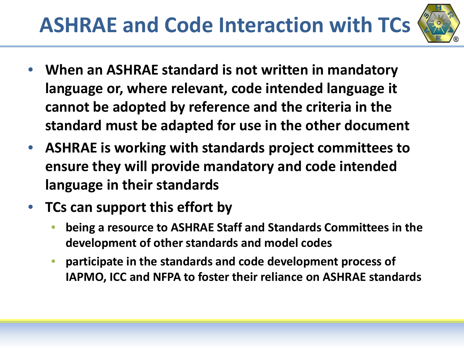

- **When an ASHRAE standard is not written in mandatory language or, where relevant, code intended language it cannot be adopted by reference and the criteria in the standard must be adapted for use in the other document**
- **ASHRAE is working with standards project committees to ensure they will provide mandatory and code intended language in their standards**
- **TCs can support this effort by** 
	- **being a resource to ASHRAE Staff and Standards Committees in the development of other standards and model codes**
	- **participate in the standards and code development process of IAPMO, ICC and NFPA to foster their reliance on ASHRAE standards**